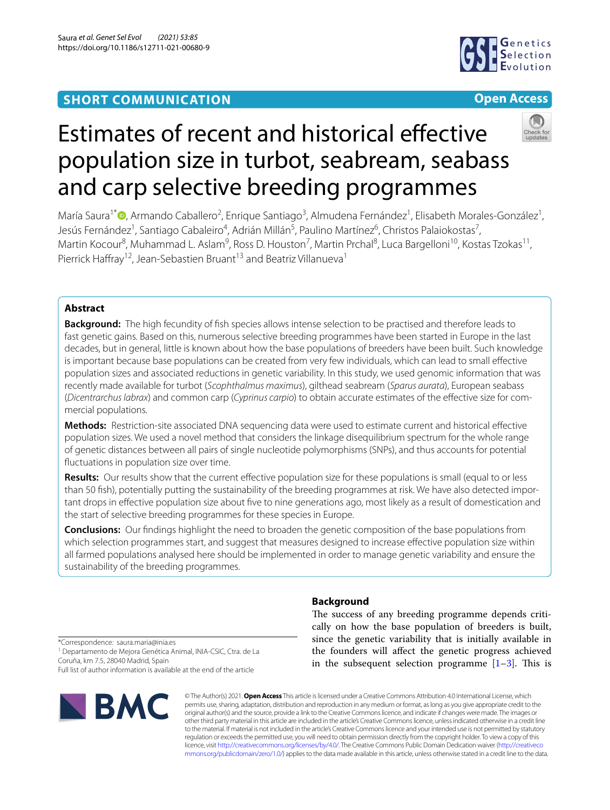## **SHORT COMMUNICATION**



## **Open Access**

# Estimates of recent and historical efective population size in turbot, seabream, seabass and carp selective breeding programmes

María Saura<sup>1\*</sup> <sup>(b</sup>[,](http://orcid.org/0000-0002-2744-2840) Armando Caballero<sup>2</sup>, Enrique Santiago<sup>3</sup>, Almudena Fernández<sup>1</sup>, Elisabeth Morales-González<sup>1</sup>, Jesús Fernández<sup>1</sup>, Santiago Cabaleiro<sup>4</sup>, Adrián Millán<sup>5</sup>, Paulino Martínez<sup>6</sup>, Christos Palaiokostas<sup>7</sup>, Martin Kocour<sup>8</sup>, Muhammad L. Aslam<sup>9</sup>, Ross D. Houston<sup>7</sup>, Martin Prchal<sup>8</sup>, Luca Bargelloni<sup>10</sup>, Kostas Tzokas<sup>11</sup>, Pierrick Haffray<sup>12</sup>, Jean-Sebastien Bruant<sup>13</sup> and Beatriz Villanueva<sup>1</sup>

## **Abstract**

**Background:** The high fecundity of fsh species allows intense selection to be practised and therefore leads to fast genetic gains. Based on this, numerous selective breeding programmes have been started in Europe in the last decades, but in general, little is known about how the base populations of breeders have been built. Such knowledge is important because base populations can be created from very few individuals, which can lead to small efective population sizes and associated reductions in genetic variability. In this study, we used genomic information that was recently made available for turbot (*Scophthalmus maximus*), gilthead seabream (*Sparus aurata*), European seabass (*Dicentrarchus labrax*) and common carp (*Cyprinus carpio*) to obtain accurate estimates of the efective size for com‑ mercial populations.

**Methods:** Restriction-site associated DNA sequencing data were used to estimate current and historical efective population sizes. We used a novel method that considers the linkage disequilibrium spectrum for the whole range of genetic distances between all pairs of single nucleotide polymorphisms (SNPs), and thus accounts for potential fuctuations in population size over time.

**Results:** Our results show that the current effective population size for these populations is small (equal to or less than 50 fish), potentially putting the sustainability of the breeding programmes at risk. We have also detected important drops in effective population size about five to nine generations ago, most likely as a result of domestication and the start of selective breeding programmes for these species in Europe.

**Conclusions:** Our fndings highlight the need to broaden the genetic composition of the base populations from which selection programmes start, and suggest that measures designed to increase effective population size within all farmed populations analysed here should be implemented in order to manage genetic variability and ensure the sustainability of the breeding programmes.

## **Background**

The success of any breeding programme depends critically on how the base population of breeders is built, since the genetic variability that is initially available in the founders will afect the genetic progress achieved in the subsequent selection programme  $[1-3]$  $[1-3]$ . This is

\*Correspondence: saura.maria@inia.es <sup>1</sup> Departamento de Mejora Genética Animal, INIA-CSIC, Ctra. de La Coruña, km 7.5, 28040 Madrid, Spain

Full list of author information is available at the end of the article



© The Author(s) 2021. **Open Access** This article is licensed under a Creative Commons Attribution 4.0 International License, which permits use, sharing, adaptation, distribution and reproduction in any medium or format, as long as you give appropriate credit to the original author(s) and the source, provide a link to the Creative Commons licence, and indicate if changes were made. The images or other third party material in this article are included in the article's Creative Commons licence, unless indicated otherwise in a credit line to the material. If material is not included in the article's Creative Commons licence and your intended use is not permitted by statutory regulation or exceeds the permitted use, you will need to obtain permission directly from the copyright holder. To view a copy of this licence, visit [http://creativecommons.org/licenses/by/4.0/.](http://creativecommons.org/licenses/by/4.0/) The Creative Commons Public Domain Dedication waiver ([http://creativeco](http://creativecommons.org/publicdomain/zero/1.0/) [mmons.org/publicdomain/zero/1.0/](http://creativecommons.org/publicdomain/zero/1.0/)) applies to the data made available in this article, unless otherwise stated in a credit line to the data.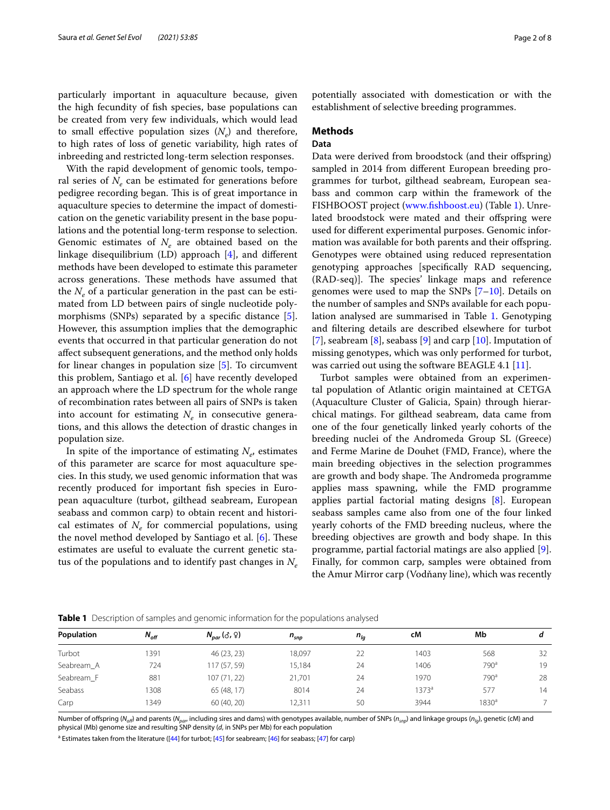particularly important in aquaculture because, given the high fecundity of fsh species, base populations can be created from very few individuals, which would lead to small effective population sizes  $(N_e)$  and therefore, to high rates of loss of genetic variability, high rates of inbreeding and restricted long-term selection responses.

With the rapid development of genomic tools, temporal series of  $N_e$  can be estimated for generations before pedigree recording began. This is of great importance in aquaculture species to determine the impact of domestication on the genetic variability present in the base populations and the potential long-term response to selection. Genomic estimates of  $N_e$  are obtained based on the linkage disequilibrium (LD) approach [\[4](#page-6-2)], and diferent methods have been developed to estimate this parameter across generations. These methods have assumed that the  $N_e$  of a particular generation in the past can be estimated from LD between pairs of single nucleotide polymorphisms (SNPs) separated by a specifc distance [\[5](#page-6-3)]. However, this assumption implies that the demographic events that occurred in that particular generation do not afect subsequent generations, and the method only holds for linear changes in population size [\[5](#page-6-3)]. To circumvent this problem, Santiago et al. [[6\]](#page-6-4) have recently developed an approach where the LD spectrum for the whole range of recombination rates between all pairs of SNPs is taken into account for estimating  $N_e$  in consecutive generations, and this allows the detection of drastic changes in population size.

In spite of the importance of estimating  $N_e$ , estimates of this parameter are scarce for most aquaculture species. In this study, we used genomic information that was recently produced for important fsh species in European aquaculture (turbot, gilthead seabream, European seabass and common carp) to obtain recent and historical estimates of  $N_e$  for commercial populations, using the novel method developed by Santiago et al.  $[6]$  $[6]$  $[6]$ . These estimates are useful to evaluate the current genetic status of the populations and to identify past changes in  $N_e$ 

potentially associated with domestication or with the establishment of selective breeding programmes.

#### **Methods**

#### **Data**

Data were derived from broodstock (and their offspring) sampled in 2014 from diferent European breeding programmes for turbot, gilthead seabream, European seabass and common carp within the framework of the FISHBOOST project ([www.fshboost.eu\)](http://www.fishboost.eu) (Table [1\)](#page-1-0). Unrelated broodstock were mated and their offspring were used for diferent experimental purposes. Genomic information was available for both parents and their offspring. Genotypes were obtained using reduced representation genotyping approaches [specifcally RAD sequencing, (RAD-seq)]. The species' linkage maps and reference genomes were used to map the SNPs  $[7-10]$  $[7-10]$  $[7-10]$ . Details on the number of samples and SNPs available for each population analysed are summarised in Table [1](#page-1-0). Genotyping and fltering details are described elsewhere for turbot [[7\]](#page-6-5), seabream [[8\]](#page-6-7), seabass [\[9](#page-6-8)] and carp [[10](#page-6-6)]. Imputation of missing genotypes, which was only performed for turbot, was carried out using the software BEAGLE 4.1 [[11](#page-6-9)].

Turbot samples were obtained from an experimental population of Atlantic origin maintained at CETGA (Aquaculture Cluster of Galicia, Spain) through hierarchical matings. For gilthead seabream, data came from one of the four genetically linked yearly cohorts of the breeding nuclei of the Andromeda Group SL (Greece) and Ferme Marine de Douhet (FMD, France), where the main breeding objectives in the selection programmes are growth and body shape. The Andromeda programme applies mass spawning, while the FMD programme applies partial factorial mating designs [\[8](#page-6-7)]. European seabass samples came also from one of the four linked yearly cohorts of the FMD breeding nucleus, where the breeding objectives are growth and body shape. In this programme, partial factorial matings are also applied [\[9](#page-6-8)]. Finally, for common carp, samples were obtained from the Amur Mirror carp (Vodňany line), which was recently

|            | $\tilde{}$ |                      |                    |          |       |                   |    |
|------------|------------|----------------------|--------------------|----------|-------|-------------------|----|
| Population | $N_{off}$  | $N_{par}(\delta, 9)$ | $n_{\textit{snp}}$ | $n_{lq}$ | сM    | Mb                | а  |
| Turbot     | 1391       | 46 (23, 23)          | 18.097             | 22       | 1403  | 568               | 32 |
| Seabream A | 724        | 117 (57, 59)         | 15,184             | 24       | 1406  | 790 <sup>a</sup>  | 19 |
| Seabream F | 881        | 107(71, 22)          | 21.701             | 24       | 1970  | $790^a$           | 28 |
| Seabass    | 1308       | 65 (48, 17)          | 8014               | 24       | 1373ª | 577               | 14 |
| Carp       | 1349       | 60 (40, 20)          | 12,311             | 50       | 3944  | 1830 <sup>a</sup> |    |

<span id="page-1-0"></span>**Table 1** Description of samples and genomic information for the populations analysed

Number of offspring (*N<sub>off</sub>)* and parents (*N<sub>parr</sub>* including sires and dams) with genotypes available, number of SNPs (*n<sub>snp</sub>*) and linkage groups (*n<sub>in</sub>*), genetic (cM) and physical (Mb) genome size and resulting SNP density (*d*, in SNPs per Mb) for each population

<sup>a</sup> Estimates taken from the literature ([\[44\]](#page-7-0) for turbot; [\[45](#page-7-1)] for seabream; [[46](#page-7-2)] for seabass; [[47\]](#page-7-3) for carp)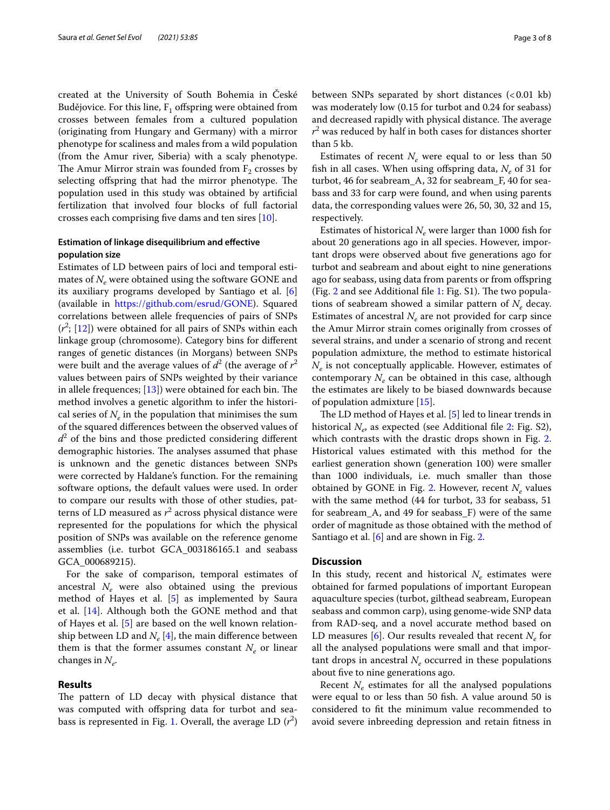created at the University of South Bohemia in České Budějovice. For this line,  $F_1$  offspring were obtained from crosses between females from a cultured population (originating from Hungary and Germany) with a mirror phenotype for scaliness and males from a wild population (from the Amur river, Siberia) with a scaly phenotype. The Amur Mirror strain was founded from  $F_2$  crosses by selecting offspring that had the mirror phenotype. The population used in this study was obtained by artifcial fertilization that involved four blocks of full factorial crosses each comprising fve dams and ten sires [\[10](#page-6-6)].

### **Estimation of linkage disequilibrium and efective population size**

Estimates of LD between pairs of loci and temporal estimates of  $N_e$  were obtained using the software GONE and its auxiliary programs developed by Santiago et al. [\[6](#page-6-4)] (available in [https://github.com/esrud/GONE\)](https://github.com/esrud/GONE). Squared correlations between allele frequencies of pairs of SNPs  $(r^2; [12])$  $(r^2; [12])$  $(r^2; [12])$  were obtained for all pairs of SNPs within each linkage group (chromosome). Category bins for diferent ranges of genetic distances (in Morgans) between SNPs were built and the average values of  $d^2$  (the average of  $r^2$ values between pairs of SNPs weighted by their variance in allele frequences;  $[13]$  $[13]$ ) were obtained for each bin. The method involves a genetic algorithm to infer the historical series of  $N_e$  in the population that minimises the sum of the squared diferences between the observed values of  $d^2$  of the bins and those predicted considering different demographic histories. The analyses assumed that phase is unknown and the genetic distances between SNPs were corrected by Haldane's function. For the remaining software options, the default values were used. In order to compare our results with those of other studies, patterns of LD measured as *r* 2 across physical distance were represented for the populations for which the physical position of SNPs was available on the reference genome assemblies (i.e. turbot GCA\_003186165.1 and seabass GCA\_000689215).

For the sake of comparison, temporal estimates of ancestral  $N_e$  were also obtained using the previous method of Hayes et al. [[5\]](#page-6-3) as implemented by Saura et al. [[14\]](#page-6-12). Although both the GONE method and that of Hayes et al. [[5\]](#page-6-3) are based on the well known relationship between LD and  $N_e$  [[4\]](#page-6-2), the main difference between them is that the former assumes constant  $N_e$  or linear changes in  $N_e$ .

#### **Results**

The pattern of LD decay with physical distance that was computed with offspring data for turbot and seabass is represented in Fig. [1](#page-3-0). Overall, the average LD (*r* 2 ) between SNPs separated by short distances  $( $0.01 \text{ kb}$ )$ was moderately low (0.15 for turbot and 0.24 for seabass) and decreased rapidly with physical distance. The average  $r<sup>2</sup>$  was reduced by half in both cases for distances shorter than 5 kb.

Estimates of recent  $N_e$  were equal to or less than 50 fish in all cases. When using offspring data,  $N_e$  of 31 for turbot, 46 for seabream\_A, 32 for seabream\_F, 40 for seabass and 33 for carp were found, and when using parents data, the corresponding values were 26, 50, 30, 32 and 15, respectively.

Estimates of historical  $N_e$  were larger than 1000 fish for about 20 generations ago in all species. However, important drops were observed about fve generations ago for turbot and seabream and about eight to nine generations ago for seabass, using data from parents or from ofspring (Fig. [2](#page-4-0) and see Additional file [1](#page-5-0): Fig.  $S1$ ). The two populations of seabream showed a similar pattern of  $N_e$  decay. Estimates of ancestral  $N_e$  are not provided for carp since the Amur Mirror strain comes originally from crosses of several strains, and under a scenario of strong and recent population admixture, the method to estimate historical *N<sub>e</sub>* is not conceptually applicable. However, estimates of contemporary  $N_e$  can be obtained in this case, although the estimates are likely to be biased downwards because of population admixture [[15](#page-6-13)].

The LD method of Hayes et al.  $[5]$  $[5]$  led to linear trends in historical *N<sub>e</sub>*, as expected (see Additional file [2:](#page-5-1) Fig. S2), which contrasts with the drastic drops shown in Fig. [2](#page-4-0). Historical values estimated with this method for the earliest generation shown (generation 100) were smaller than 1000 individuals, i.e. much smaller than those obtained by GONE in Fig. [2](#page-4-0). However, recent *N<sub>e</sub>* values with the same method (44 for turbot, 33 for seabass, 51 for seabream\_A, and 49 for seabass\_F) were of the same order of magnitude as those obtained with the method of Santiago et al. [[6\]](#page-6-4) and are shown in Fig. [2](#page-4-0).

#### **Discussion**

In this study, recent and historical  $N_e$  estimates were obtained for farmed populations of important European aquaculture species (turbot, gilthead seabream, European seabass and common carp), using genome-wide SNP data from RAD-seq, and a novel accurate method based on LD measures [\[6](#page-6-4)]. Our results revealed that recent  $N_e$  for all the analysed populations were small and that important drops in ancestral  $N_e$  occurred in these populations about fve to nine generations ago.

Recent  $N_e$  estimates for all the analysed populations were equal to or less than 50 fsh. A value around 50 is considered to ft the minimum value recommended to avoid severe inbreeding depression and retain ftness in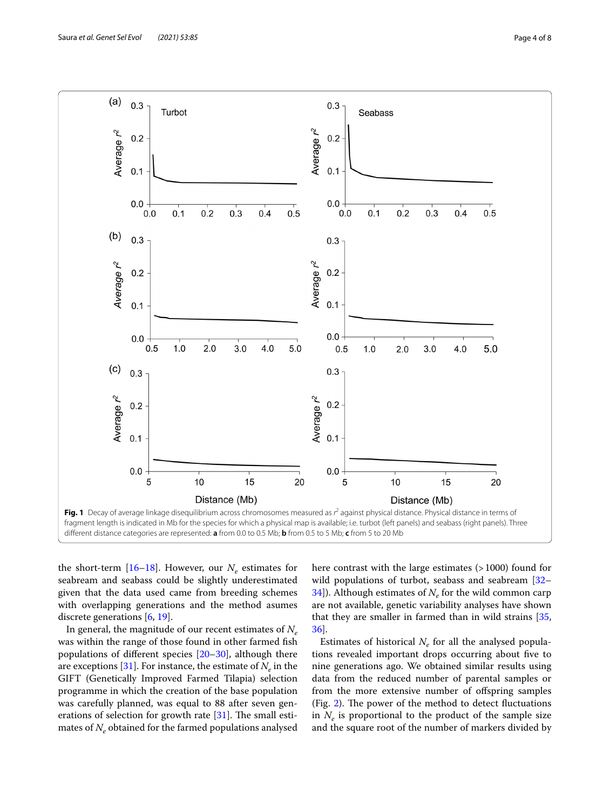

<span id="page-3-0"></span>the short-term  $[16–18]$  $[16–18]$  $[16–18]$  $[16–18]$ . However, our  $N_e$  estimates for seabream and seabass could be slightly underestimated given that the data used came from breeding schemes with overlapping generations and the method asumes discrete generations [\[6](#page-6-4), [19](#page-6-16)].

In general, the magnitude of our recent estimates of *Ne* was within the range of those found in other farmed fsh populations of diferent species [[20–](#page-6-17)[30](#page-6-18)], although there are exceptions [\[31](#page-6-19)]. For instance, the estimate of  $N_e$  in the GIFT (Genetically Improved Farmed Tilapia) selection programme in which the creation of the base population was carefully planned, was equal to 88 after seven generations of selection for growth rate  $[31]$  $[31]$ . The small estimates of  $N_e$  obtained for the farmed populations analysed here contrast with the large estimates (>1000) found for wild populations of turbot, seabass and seabream [[32–](#page-6-20)  $34$ ]). Although estimates of  $N_e$  for the wild common carp are not available, genetic variability analyses have shown that they are smaller in farmed than in wild strains [[35](#page-7-5), [36\]](#page-7-6).

Estimates of historical  $N_e$  for all the analysed populations revealed important drops occurring about five to nine generations ago. We obtained similar results using data from the reduced number of parental samples or from the more extensive number of offspring samples (Fig. [2\)](#page-4-0). The power of the method to detect fluctuations in  $N_e$  is proportional to the product of the sample size and the square root of the number of markers divided by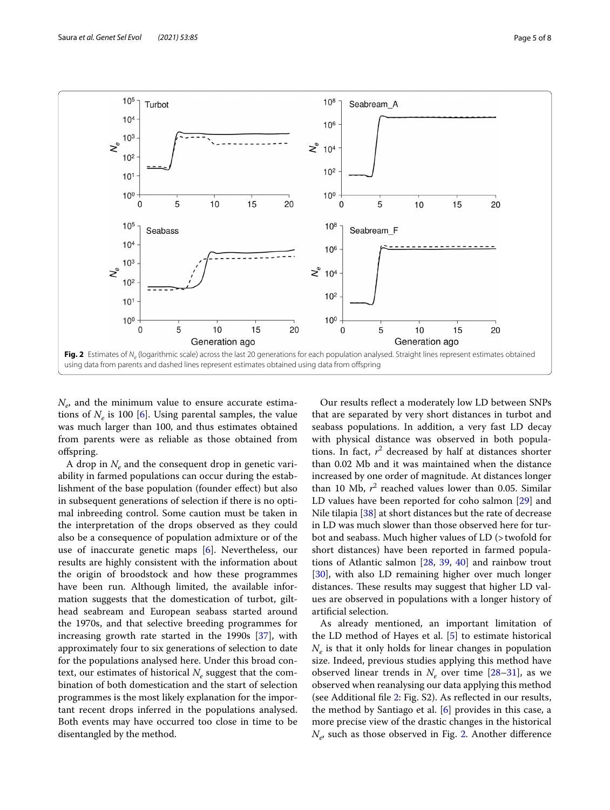

<span id="page-4-0"></span> $N_e$ , and the minimum value to ensure accurate estimations of  $N_e$  is 100 [\[6](#page-6-4)]. Using parental samples, the value was much larger than 100, and thus estimates obtained from parents were as reliable as those obtained from ofspring.

A drop in  $N_e$  and the consequent drop in genetic variability in farmed populations can occur during the establishment of the base population (founder efect) but also in subsequent generations of selection if there is no optimal inbreeding control. Some caution must be taken in the interpretation of the drops observed as they could also be a consequence of population admixture or of the use of inaccurate genetic maps [[6\]](#page-6-4). Nevertheless, our results are highly consistent with the information about the origin of broodstock and how these programmes have been run. Although limited, the available information suggests that the domestication of turbot, gilthead seabream and European seabass started around the 1970s, and that selective breeding programmes for increasing growth rate started in the 1990s [\[37](#page-7-7)], with approximately four to six generations of selection to date for the populations analysed here. Under this broad context, our estimates of historical  $N_e$  suggest that the combination of both domestication and the start of selection programmes is the most likely explanation for the important recent drops inferred in the populations analysed. Both events may have occurred too close in time to be disentangled by the method.

Our results refect a moderately low LD between SNPs that are separated by very short distances in turbot and seabass populations. In addition, a very fast LD decay with physical distance was observed in both populations. In fact,  $r^2$  decreased by half at distances shorter than 0.02 Mb and it was maintained when the distance increased by one order of magnitude. At distances longer than 10 Mb,  $r^2$  reached values lower than 0.05. Similar LD values have been reported for coho salmon [\[29](#page-6-21)] and Nile tilapia [[38\]](#page-7-8) at short distances but the rate of decrease in LD was much slower than those observed here for turbot and seabass. Much higher values of LD (>twofold for short distances) have been reported in farmed populations of Atlantic salmon [\[28](#page-6-22), [39](#page-7-9), [40\]](#page-7-10) and rainbow trout [[30\]](#page-6-18), with also LD remaining higher over much longer distances. These results may suggest that higher LD values are observed in populations with a longer history of artifcial selection.

As already mentioned, an important limitation of the LD method of Hayes et al. [\[5](#page-6-3)] to estimate historical *Ne* is that it only holds for linear changes in population size. Indeed, previous studies applying this method have observed linear trends in  $N_e$  over time  $[28-31]$  $[28-31]$  $[28-31]$ , as we observed when reanalysing our data applying this method (see Additional fle [2:](#page-5-1) Fig. S2). As refected in our results, the method by Santiago et al. [[6\]](#page-6-4) provides in this case, a more precise view of the drastic changes in the historical *Ne*, such as those observed in Fig. [2.](#page-4-0) Another diference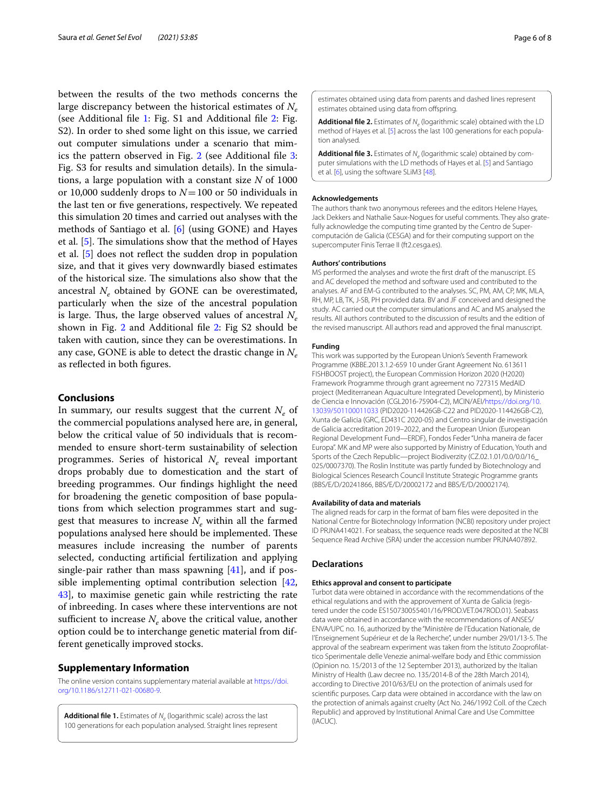between the results of the two methods concerns the large discrepancy between the historical estimates of  $N_e$ (see Additional fle [1:](#page-5-0) Fig. S1 and Additional fle [2:](#page-5-1) Fig. S2). In order to shed some light on this issue, we carried out computer simulations under a scenario that mim-ics the pattern observed in Fig. [2](#page-4-0) (see Additional file [3](#page-5-2): Fig. S3 for results and simulation details). In the simulations, a large population with a constant size *N* of 1000 or 10,000 suddenly drops to *N*=100 or 50 individuals in the last ten or fve generations, respectively. We repeated this simulation 20 times and carried out analyses with the methods of Santiago et al. [[6\]](#page-6-4) (using GONE) and Hayes et al.  $[5]$ . The simulations show that the method of Hayes et al. [\[5](#page-6-3)] does not refect the sudden drop in population size, and that it gives very downwardly biased estimates of the historical size. The simulations also show that the ancestral  $N_e$  obtained by GONE can be overestimated, particularly when the size of the ancestral population is large. Thus, the large observed values of ancestral  $N_e$ shown in Fig. [2](#page-4-0) and Additional file [2:](#page-5-1) Fig S2 should be taken with caution, since they can be overestimations. In any case, GONE is able to detect the drastic change in *Ne* as refected in both fgures.

#### **Conclusions**

In summary, our results suggest that the current  $N_e$  of the commercial populations analysed here are, in general, below the critical value of 50 individuals that is recommended to ensure short-term sustainability of selection programmes. Series of historical  $N_e$  reveal important drops probably due to domestication and the start of breeding programmes. Our fndings highlight the need for broadening the genetic composition of base populations from which selection programmes start and suggest that measures to increase  $N_e$  within all the farmed populations analysed here should be implemented. These measures include increasing the number of parents selected, conducting artifcial fertilization and applying single-pair rather than mass spawning  $[41]$ , and if possible implementing optimal contribution selection [\[42](#page-7-12), [43\]](#page-7-13), to maximise genetic gain while restricting the rate of inbreeding. In cases where these interventions are not sufficient to increase  $N_e$  above the critical value, another option could be to interchange genetic material from different genetically improved stocks.

#### **Supplementary Information**

The online version contains supplementary material available at [https://doi.](https://doi.org/10.1186/s12711-021-00680-9) [org/10.1186/s12711-021-00680-9](https://doi.org/10.1186/s12711-021-00680-9).

<span id="page-5-0"></span>Additional file 1. Estimates of *N<sub>e</sub>* (logarithmic scale) across the last 100 generations for each population analysed. Straight lines represent <span id="page-5-1"></span>estimates obtained using data from parents and dashed lines represent estimates obtained using data from offspring.

**Additional file 2.** Estimates of *N<sub>e</sub>* (logarithmic scale) obtained with the LD method of Hayes et al. [\[5\]](#page-6-3) across the last 100 generations for each population analysed.

<span id="page-5-2"></span>**Additional file 3.** Estimates of *N<sub>e</sub>* (logarithmic scale) obtained by computer simulations with the LD methods of Hayes et al. [[5\]](#page-6-3) and Santiago et al. [\[6\]](#page-6-4), using the software SLiM3 [\[48\]](#page-7-14).

#### **Acknowledgements**

The authors thank two anonymous referees and the editors Helene Hayes, Jack Dekkers and Nathalie Saux-Nogues for useful comments. They also grate‑ fully acknowledge the computing time granted by the Centro de Supercomputación de Galicia (CESGA) and for their computing support on the supercomputer Finis Terrae II (ft2.cesga.es).

#### **Authors' contributions**

MS performed the analyses and wrote the frst draft of the manuscript. ES and AC developed the method and software used and contributed to the analyses. AF and EM-G contributed to the analyses. SC, PM, AM, CP, MK, MLA, RH, MP, LB, TK, J-SB, PH provided data. BV and JF conceived and designed the study. AC carried out the computer simulations and AC and MS analysed the results. All authors contributed to the discussion of results and the edition of the revised manuscript. All authors read and approved the fnal manuscript.

#### **Funding**

This work was supported by the European Union's Seventh Framework Programme (KBBE.2013.1.2-659 10 under Grant Agreement No. 613611 FISHBOOST project), the European Commission Horizon 2020 (H2020) Framework Programme through grant agreement no 727315 MedAID project (Mediterranean Aquaculture Integrated Development), by Ministerio de Ciencia e Innovación (CGL2016-75904-C2), MCIN/AEI/[https://doi.org/10.](https://doi.org/10.13039/501100011033) [13039/501100011033](https://doi.org/10.13039/501100011033) (PID2020-114426GB-C22 and PID2020-114426GB-C2), Xunta de Galicia (GRC, ED431C 2020-05) and Centro singular de investigación de Galicia accreditation 2019–2022, and the European Union (European Regional Development Fund—ERDF), Fondos Feder "Unha maneira de facer Europa". MK and MP were also supported by Ministry of Education, Youth and Sports of the Czech Republic—project Biodiverzity (CZ.02.1.01/0.0/0.0/16\_ 025/0007370). The Roslin Institute was partly funded by Biotechnology and Biological Sciences Research Council Institute Strategic Programme grants (BBS/E/D/20241866, BBS/E/D/20002172 and BBS/E/D/20002174).

#### **Availability of data and materials**

The aligned reads for carp in the format of bam fles were deposited in the National Centre for Biotechnology Information (NCBI) repository under project ID PRJNA414021. For seabass, the sequence reads were deposited at the NCBI Sequence Read Archive (SRA) under the accession number PRJNA407892.

#### **Declarations**

#### **Ethics approval and consent to participate**

Turbot data were obtained in accordance with the recommendations of the ethical regulations and with the approvement of Xunta de Galicia (registered under the code ES150730055401/16/PROD.VET.047ROD.01). Seabass data were obtained in accordance with the recommendations of ANSES/ ENVA/UPC no. 16, authorized by the "Ministère de l'Education Nationale, de l'Enseignement Supérieur et de la Recherche", under number 29/01/13-5. The approval of the seabream experiment was taken from the Istituto Zooprofilattico Sperimentale delle Venezie animal-welfare body and Ethic commission (Opinion no. 15/2013 of the 12 September 2013), authorized by the Italian Ministry of Health (Law decree no. 135/2014-B of the 28th March 2014), according to Directive 2010/63/EU on the protection of animals used for scientifc purposes. Carp data were obtained in accordance with the law on the protection of animals against cruelty (Act No. 246/1992 Coll. of the Czech Republic) and approved by Institutional Animal Care and Use Committee (IACUC).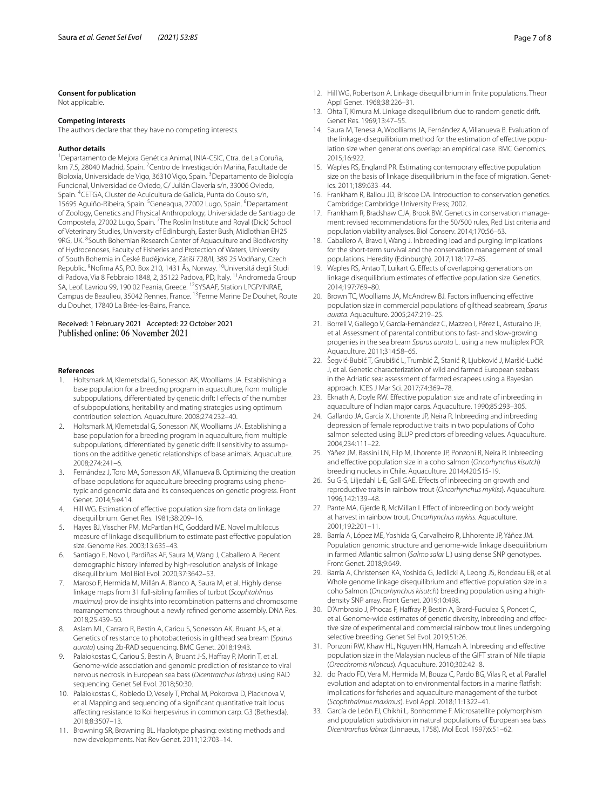#### **Consent for publication**

Not applicable.

#### **Competing interests**

The authors declare that they have no competing interests.

#### **Author details**

<sup>1</sup> Departamento de Mejora Genética Animal, INIA-CSIC, Ctra. de La Coruña, km 7.5, 28040 Madrid, Spain. <sup>2</sup> Centro de Investigación Mariña, Facultade de Bioloxía, Universidade de Vigo, 36310 Vigo, Spain. <sup>3</sup> Departamento de Biología Funcional, Universidad de Oviedo, C/ Julián Clavería s/n, 33006 Oviedo, Spain. <sup>4</sup> CETGA, Cluster de Acuicultura de Galicia, Punta do Couso s/n, 15695 Aguiño-Ribeira, Spain. <sup>5</sup> Geneaqua, 27002 Lugo, Spain. <sup>6</sup> Departament of Zoology, Genetics and Physical Anthropology, Universidade de Santiago de Compostela, 27002 Lugo, Spain. <sup>7</sup>The Roslin Institute and Royal (Dick) School of Veterinary Studies, University of Edinburgh, Easter Bush, Midlothian EH25 9RG, UK. <sup>8</sup>South Bohemian Research Center of Aquaculture and Biodiversity of Hydrocenoses, Faculty of Fisheries and Protection of Waters, University of South Bohemia in České Budějovice, Zátiší 728/II, 389 25 Vodňany, Czech Republic. <sup>9</sup>Nofima AS, P.O. Box 210, 1431 Ås, Norway. <sup>10</sup>Universitá degli Studi di Padova, Via 8 Febbraio 1848, 2, 35122 Padova, PD, Italy. <sup>11</sup> Andromeda Group SA, Leof. Lavriou 99, 190 02 Peania, Greece. 12SYSAAF, Station LPGP/INRAE, Campus de Beaulieu, 35042 Rennes, France. 13Ferme Marine De Douhet, Route du Douhet, 17840 La Brée‑les‑Bains, France.

## Received: 1 February 2021 Accepted: 22 October 2021<br>Published online: 06 November 2021

#### **References**

- <span id="page-6-0"></span>1. Holtsmark M, Klemetsdal G, Sonesson AK, Woolliams JA. Establishing a base population for a breeding program in aquaculture, from multiple subpopulations, differentiated by genetic drift: I effects of the number of subpopulations, heritability and mating strategies using optimum contribution selection. Aquaculture. 2008;274:232–40.
- 2. Holtsmark M, Klemetsdal G, Sonesson AK, Woolliams JA. Establishing a base population for a breeding program in aquaculture, from multiple subpopulations, differentiated by genetic drift: II sensitivity to assumptions on the additive genetic relationships of base animals. Aquaculture. 2008;274:241–6.
- <span id="page-6-1"></span>3. Fernández J, Toro MA, Sonesson AK, Villanueva B. Optimizing the creation of base populations for aquaculture breeding programs using phenotypic and genomic data and its consequences on genetic progress. Front Genet. 2014;5:e414.
- <span id="page-6-2"></span>4. Hill WG. Estimation of efective population size from data on linkage disequilibrium. Genet Res. 1981;38:209–16.
- <span id="page-6-3"></span>5. Hayes BJ, Visscher PM, McPartlan HC, Goddard ME. Novel multilocus measure of linkage disequilibrium to estimate past efective population size. Genome Res. 2003;13:635–43.
- <span id="page-6-4"></span>6. Santiago E, Novo I, Pardiñas AF, Saura M, Wang J, Caballero A. Recent demographic history inferred by high-resolution analysis of linkage disequilibrium. Mol Biol Evol. 2020;37:3642–53.
- <span id="page-6-5"></span>7. Maroso F, Hermida M, Millán A, Blanco A, Saura M, et al. Highly dense linkage maps from 31 full-sibling families of turbot (*Scophtahlmus maximus*) provide insights into recombination patterns and chromosome rearrangements throughout a newly refned genome assembly. DNA Res. 2018;25:439–50.
- <span id="page-6-7"></span>8. Aslam ML, Carraro R, Bestin A, Cariou S, Sonesson AK, Bruant J-S, et al. Genetics of resistance to photobacteriosis in gilthead sea bream (*Sparus aurata*) using 2b-RAD sequencing. BMC Genet. 2018;19:43.
- <span id="page-6-8"></span>9. Palaiokostas C, Cariou S, Bestin A, Bruant J-S, Hafray P, Morin T, et al. Genome-wide association and genomic prediction of resistance to viral nervous necrosis in European sea bass (*Dicentrarchus labrax*) using RAD sequencing. Genet Sel Evol. 2018;50:30.
- <span id="page-6-6"></span>10. Palaiokostas C, Robledo D, Vesely T, Prchal M, Pokorova D, Piacknova V, et al. Mapping and sequencing of a signifcant quantitative trait locus afecting resistance to Koi herpesvirus in common carp. G3 (Bethesda). 2018;8:3507–13.
- <span id="page-6-9"></span>11. Browning SR, Browning BL. Haplotype phasing: existing methods and new developments. Nat Rev Genet. 2011;12:703–14.
- <span id="page-6-10"></span>12. Hill WG, Robertson A. Linkage disequilibrium in fnite populations. Theor Appl Genet. 1968;38:226–31.
- <span id="page-6-11"></span>13. Ohta T, Kimura M. Linkage disequilibrium due to random genetic drift. Genet Res. 1969;13:47–55.
- <span id="page-6-12"></span>14. Saura M, Tenesa A, Woolliams JA, Fernández A, Villanueva B. Evaluation of the linkage-disequilibrium method for the estimation of effective population size when generations overlap: an empirical case. BMC Genomics. 2015;16:922.
- <span id="page-6-13"></span>15. Waples RS, England PR. Estimating contemporary efective population size on the basis of linkage disequilibrium in the face of migration. Genetics. 2011;189:633–44.
- <span id="page-6-14"></span>16. Frankham R, Ballou JD, Briscoe DA. Introduction to conservation genetics. Cambridge: Cambridge University Press; 2002.
- 17. Frankham R, Bradshaw CJA, Brook BW. Genetics in conservation management: revised recommendations for the 50/500 rules, Red List criteria and population viability analyses. Biol Conserv. 2014;170:56–63.
- <span id="page-6-15"></span>18. Caballero A, Bravo I, Wang J. Inbreeding load and purging: implications for the short-term survival and the conservation management of small populations. Heredity (Edinburgh). 2017;118:177–85.
- <span id="page-6-16"></span>19. Waples RS, Antao T, Luikart G. Efects of overlapping generations on linkage disequilibrium estimates of efective population size. Genetics. 2014;197:769–80.
- <span id="page-6-17"></span>20. Brown TC, Woolliams JA, McAndrew BJ. Factors infuencing efective population size in commercial populations of gilthead seabream, *Sparus aurata*. Aquaculture. 2005;247:219–25.
- 21. Borrell V, Gallego V, García-Fernández C, Mazzeo I, Pérez L, Asturaino JF, et al. Assessment of parental contributions to fast- and slow-growing progenies in the sea bream *Sparus aurata* L. using a new multiplex PCR. Aquaculture. 2011;314:58–65.
- 22. Šegvić-Bubić T, Grubišić L, Trumbić Ž, Stanić R, Ljubković J, Maršić-Lučić J, et al. Genetic characterization of wild and farmed European seabass in the Adriatic sea: assessment of farmed escapees using a Bayesian approach. ICES J Mar Sci. 2017;74:369–78.
- 23. Eknath A, Doyle RW. Efective population size and rate of inbreeding in aquaculture of Indian major carps. Aquaculture. 1990;85:293–305.
- 24. Gallardo JA, García X, Lhorente JP, Neira R. Inbreeding and inbreeding depression of female reproductive traits in two populations of Coho salmon selected using BLUP predictors of breeding values. Aquaculture. 2004;234:111–22.
- 25. Yáñez JM, Bassini LN, Filp M, Lhorente JP, Ponzoni R, Neira R. Inbreeding and efective population size in a coho salmon (*Oncorhynchus kisutch*) breeding nucleus in Chile. Aquaculture. 2014;420:S15-19.
- 26. Su G-S, Liljedahl L-E, Gall GAE. Efects of inbreeding on growth and reproductive traits in rainbow trout (*Oncorhynchus mykiss*). Aquaculture. 1996;142:139–48.
- 27. Pante MA, Gjerde B, McMillan I. Effect of inbreeding on body weight at harvest in rainbow trout, *Oncorhynchus mykiss*. Aquaculture. 2001;192:201–11.
- <span id="page-6-22"></span>28. Barría A, López ME, Yoshida G, Carvalheiro R, Lhhorente JP, Yáñez JM. Population genomic structure and genome-wide linkage disequilibrium in farmed Atlantic salmon (*Salmo salar* L.) using dense SNP genotypes. Front Genet. 2018;9:649.
- <span id="page-6-21"></span>29. Barría A, Christensen KA, Yoshida G, Jedlicki A, Leong JS, Rondeau EB, et al. Whole genome linkage disequilibrium and efective population size in a coho Salmon (*Oncorhynchus kisutch*) breeding population using a highdensity SNP array. Front Genet. 2019;10:498.
- <span id="page-6-18"></span>30. D'Ambrosio J, Phocas F, Hafray P, Bestin A, Brard-Fudulea S, Poncet C, et al. Genome-wide estimates of genetic diversity, inbreeding and effective size of experimental and commercial rainbow trout lines undergoing selective breeding. Genet Sel Evol. 2019;51:26.
- <span id="page-6-19"></span>31. Ponzoni RW, Khaw HL, Nguyen HN, Hamzah A. Inbreeding and efective population size in the Malaysian nucleus of the GIFT strain of Nile tilapia (*Oreochromis niloticus*). Aquaculture. 2010;302:42–8.
- <span id="page-6-20"></span>32. do Prado FD, Vera M, Hermida M, Bouza C, Pardo BG, Vilas R, et al. Parallel evolution and adaptation to environmental factors in a marine fatfsh: implications for fsheries and aquaculture management of the turbot (*Scophthalmus maximus*). Evol Appl. 2018;11:1322–41.
- 33. García de León FJ, Chikhi L, Bonhomme F. Microsatellite polymorphism and population subdivision in natural populations of European sea bass *Dicentrarchus labrax* (Linnaeus, 1758). Mol Ecol. 1997;6:51–62.